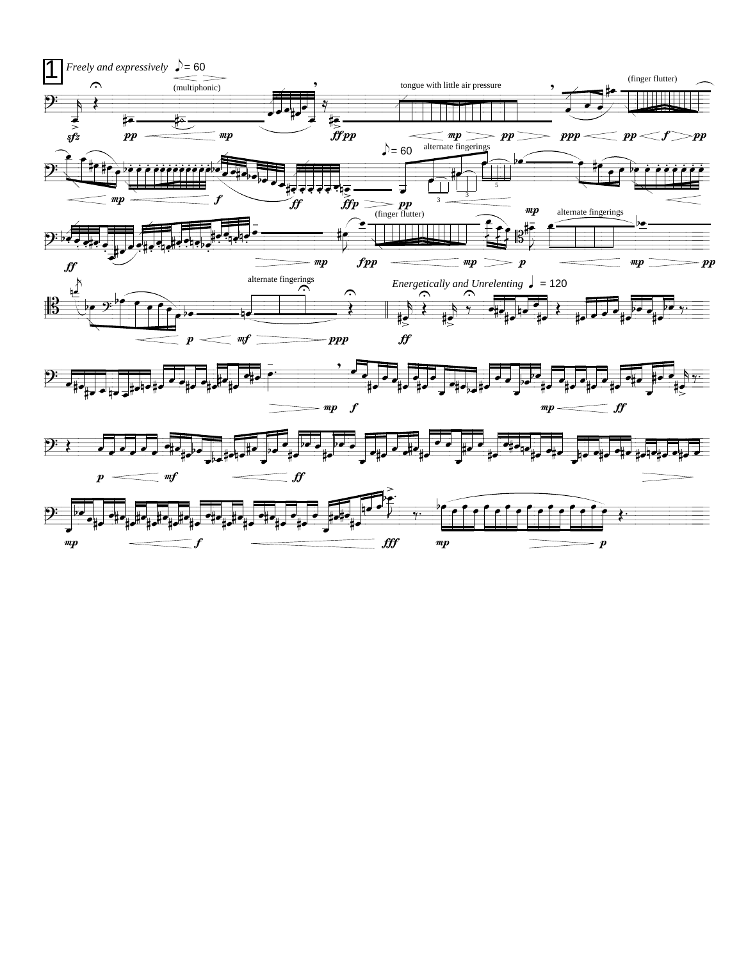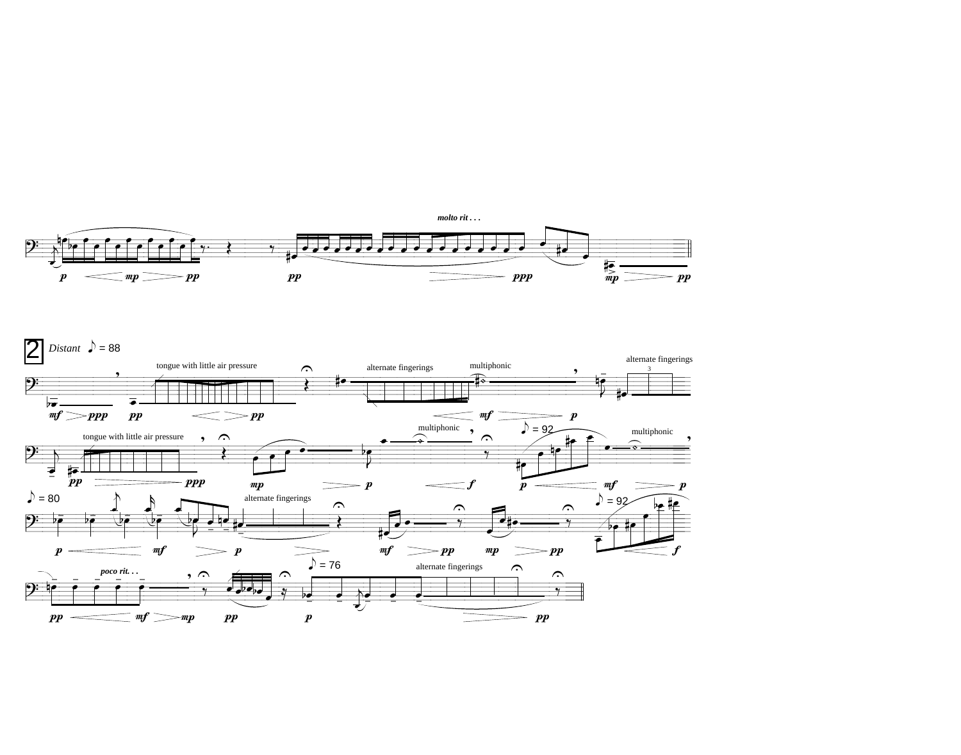

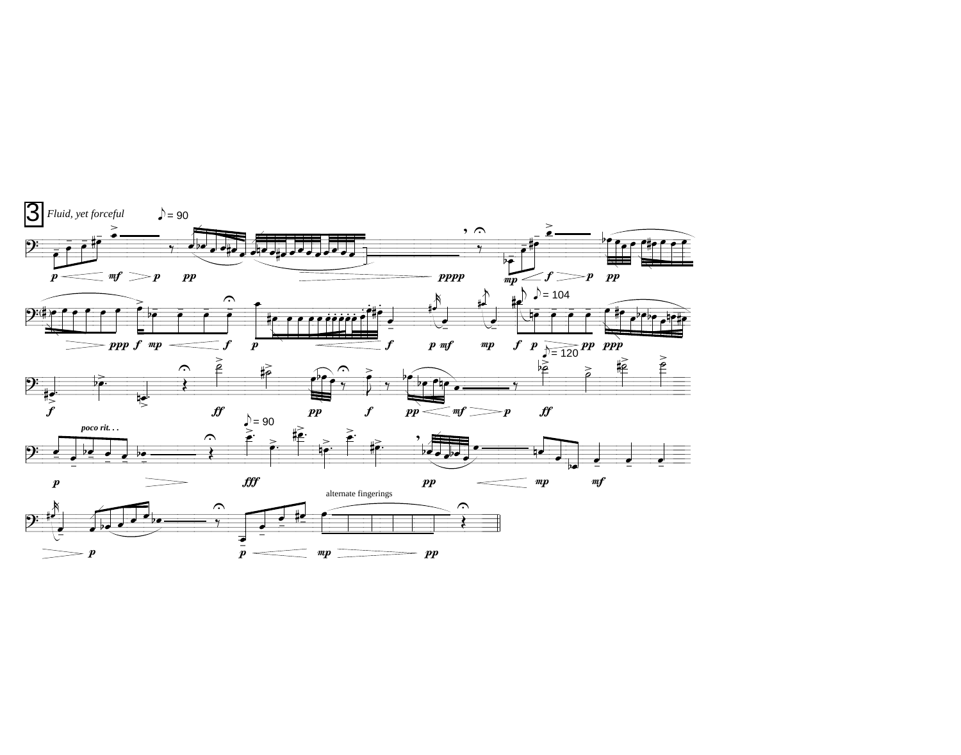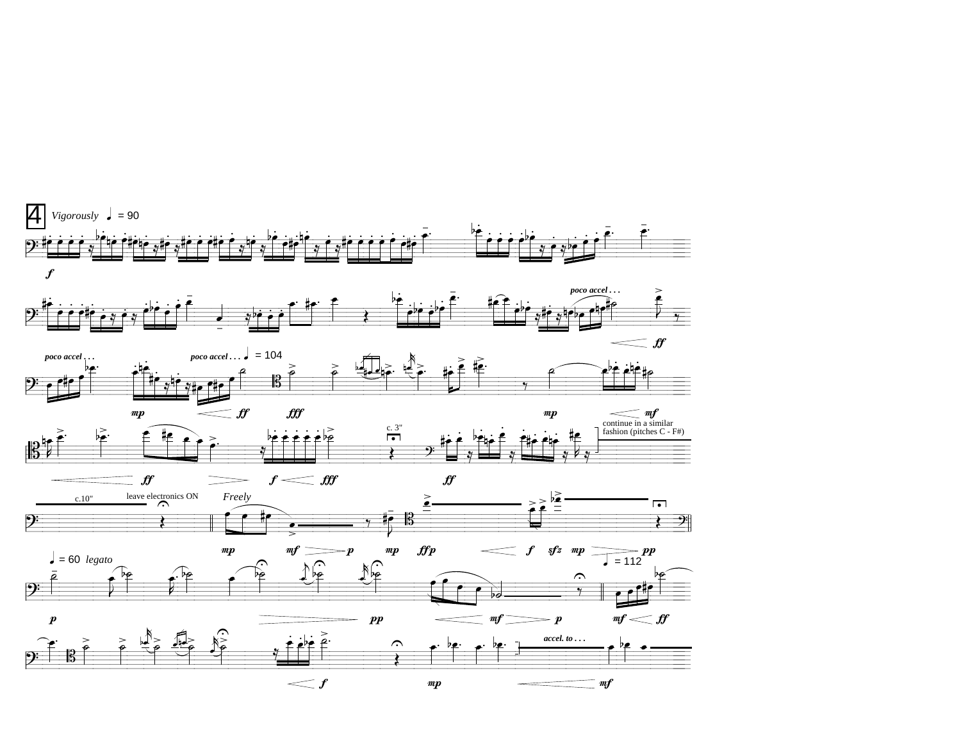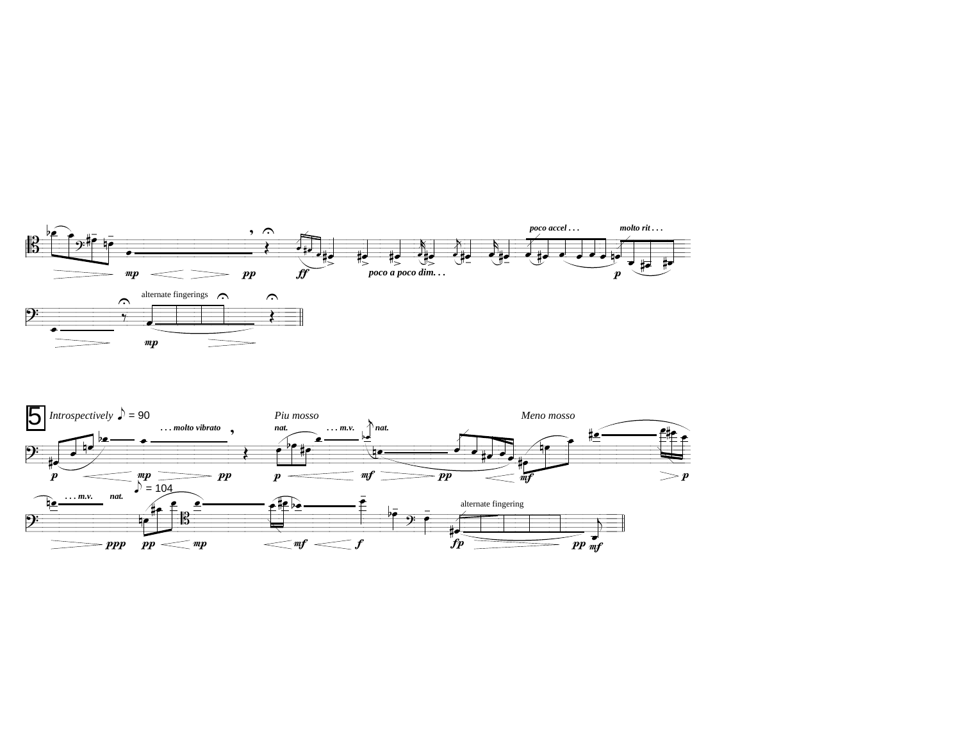

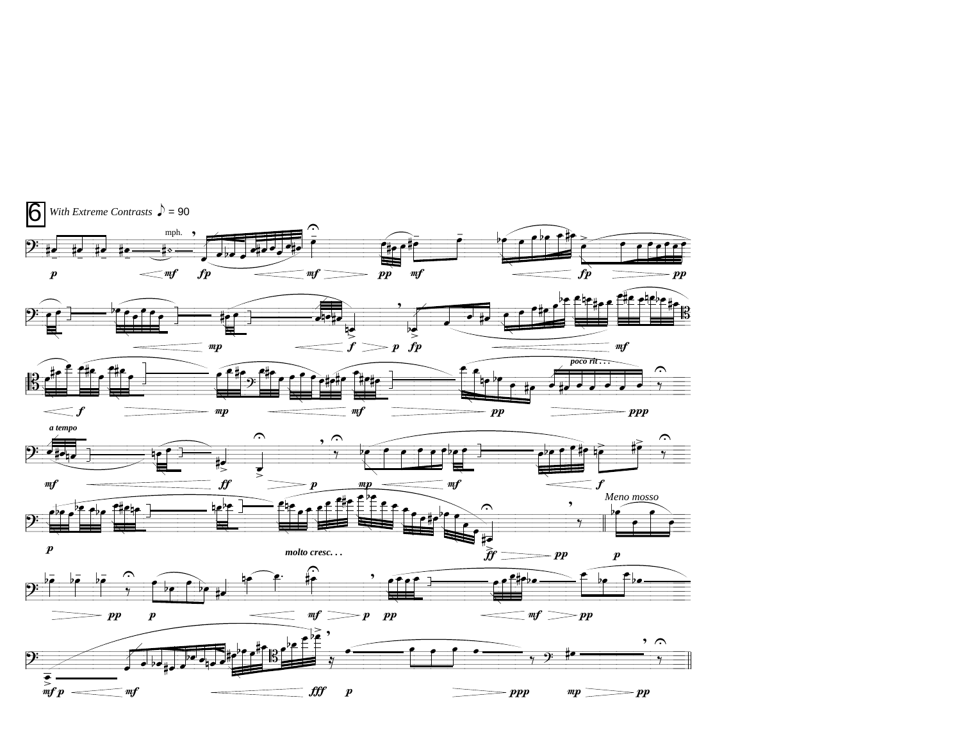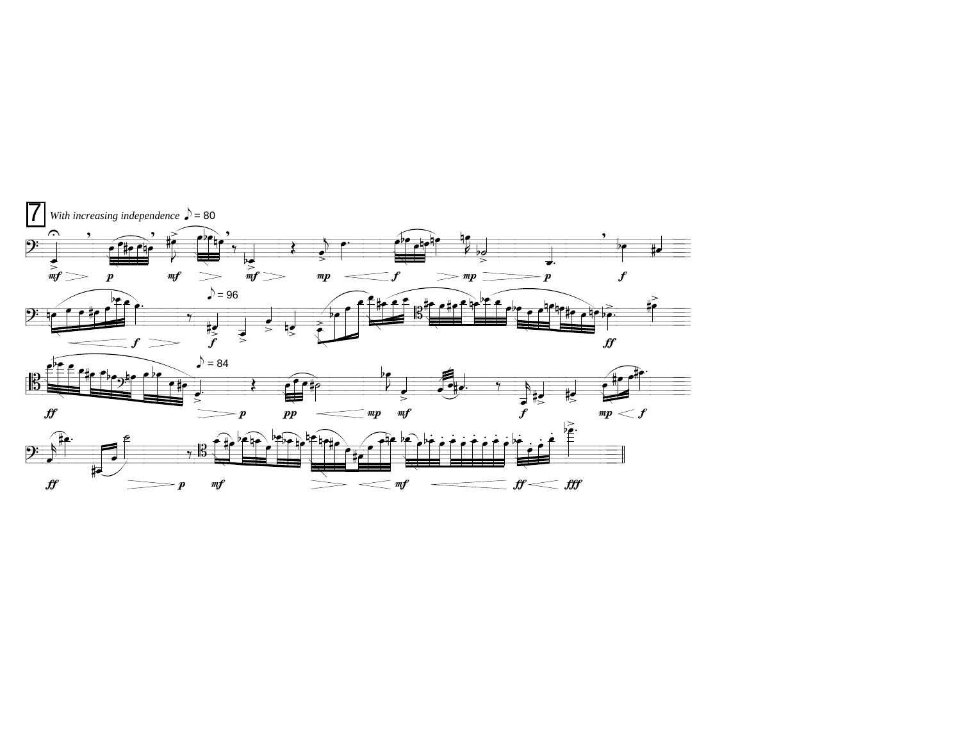

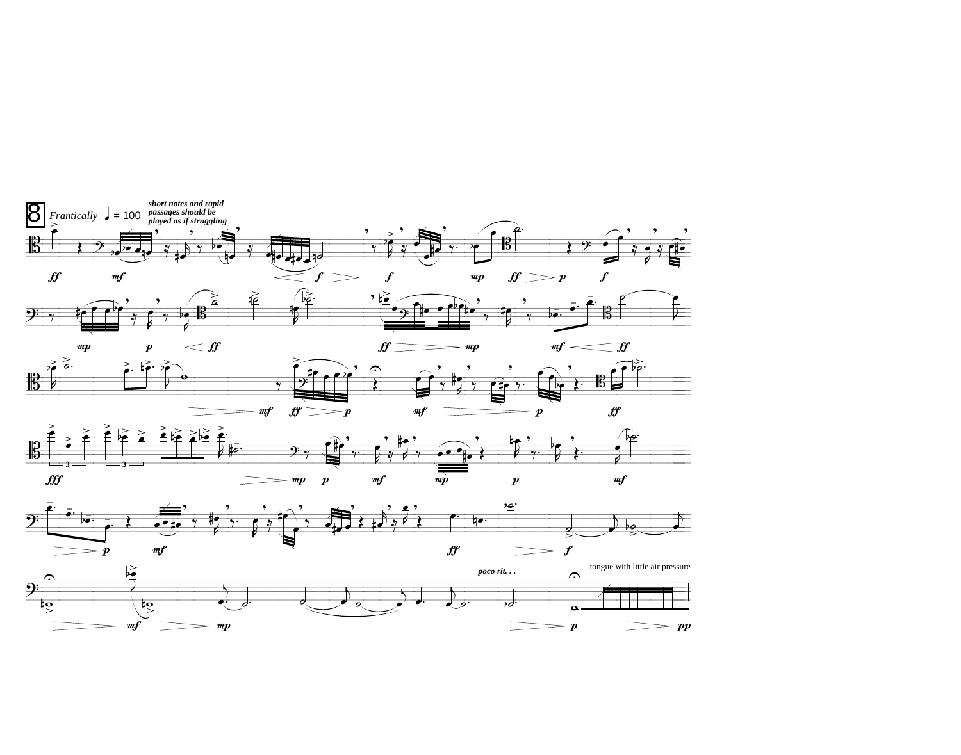